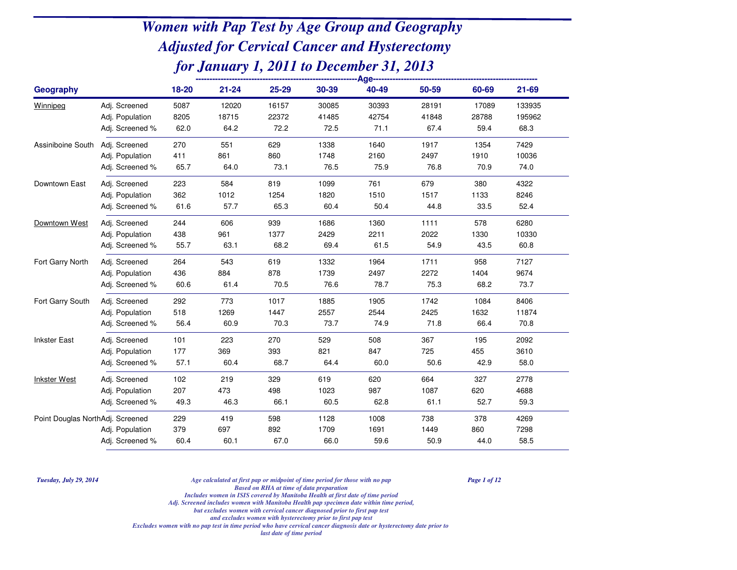| <b>Geography</b>                 |                 | 18-20 | $21 - 24$ | 25-29 | 30-39 | 40-49 | 50-59 | 60-69 | 21-69  |  |
|----------------------------------|-----------------|-------|-----------|-------|-------|-------|-------|-------|--------|--|
| Winnipeg                         | Adj. Screened   | 5087  | 12020     | 16157 | 30085 | 30393 | 28191 | 17089 | 133935 |  |
|                                  | Adj. Population | 8205  | 18715     | 22372 | 41485 | 42754 | 41848 | 28788 | 195962 |  |
|                                  | Adj. Screened % | 62.0  | 64.2      | 72.2  | 72.5  | 71.1  | 67.4  | 59.4  | 68.3   |  |
| Assiniboine South                | Adj. Screened   | 270   | 551       | 629   | 1338  | 1640  | 1917  | 1354  | 7429   |  |
|                                  | Adj. Population | 411   | 861       | 860   | 1748  | 2160  | 2497  | 1910  | 10036  |  |
|                                  | Adj. Screened % | 65.7  | 64.0      | 73.1  | 76.5  | 75.9  | 76.8  | 70.9  | 74.0   |  |
| Downtown East                    | Adj. Screened   | 223   | 584       | 819   | 1099  | 761   | 679   | 380   | 4322   |  |
|                                  | Adj. Population | 362   | 1012      | 1254  | 1820  | 1510  | 1517  | 1133  | 8246   |  |
|                                  | Adj. Screened % | 61.6  | 57.7      | 65.3  | 60.4  | 50.4  | 44.8  | 33.5  | 52.4   |  |
| Downtown West                    | Adj. Screened   | 244   | 606       | 939   | 1686  | 1360  | 1111  | 578   | 6280   |  |
|                                  | Adj. Population | 438   | 961       | 1377  | 2429  | 2211  | 2022  | 1330  | 10330  |  |
|                                  | Adj. Screened % | 55.7  | 63.1      | 68.2  | 69.4  | 61.5  | 54.9  | 43.5  | 60.8   |  |
| Fort Garry North                 | Adj. Screened   | 264   | 543       | 619   | 1332  | 1964  | 1711  | 958   | 7127   |  |
|                                  | Adj. Population | 436   | 884       | 878   | 1739  | 2497  | 2272  | 1404  | 9674   |  |
|                                  | Adj. Screened % | 60.6  | 61.4      | 70.5  | 76.6  | 78.7  | 75.3  | 68.2  | 73.7   |  |
| Fort Garry South                 | Adj. Screened   | 292   | 773       | 1017  | 1885  | 1905  | 1742  | 1084  | 8406   |  |
|                                  | Adj. Population | 518   | 1269      | 1447  | 2557  | 2544  | 2425  | 1632  | 11874  |  |
|                                  | Adj. Screened % | 56.4  | 60.9      | 70.3  | 73.7  | 74.9  | 71.8  | 66.4  | 70.8   |  |
| <b>Inkster East</b>              | Adj. Screened   | 101   | 223       | 270   | 529   | 508   | 367   | 195   | 2092   |  |
|                                  | Adj. Population | 177   | 369       | 393   | 821   | 847   | 725   | 455   | 3610   |  |
|                                  | Adj. Screened % | 57.1  | 60.4      | 68.7  | 64.4  | 60.0  | 50.6  | 42.9  | 58.0   |  |
| <b>Inkster West</b>              | Adj. Screened   | 102   | 219       | 329   | 619   | 620   | 664   | 327   | 2778   |  |
|                                  | Adj. Population | 207   | 473       | 498   | 1023  | 987   | 1087  | 620   | 4688   |  |
|                                  | Adj. Screened % | 49.3  | 46.3      | 66.1  | 60.5  | 62.8  | 61.1  | 52.7  | 59.3   |  |
| Point Douglas NorthAdj. Screened |                 | 229   | 419       | 598   | 1128  | 1008  | 738   | 378   | 4269   |  |
|                                  | Adj. Population | 379   | 697       | 892   | 1709  | 1691  | 1449  | 860   | 7298   |  |
|                                  | Adj. Screened % | 60.4  | 60.1      | 67.0  | 66.0  | 59.6  | 50.9  | 44.0  | 58.5   |  |

*Tuesday, July 29, 2014*

*Age calculated at first pap or midpoint of time period for those with no pap Page 1 of 12*

*Based on RHA at time of data preparation*

*Includes women in ISIS covered by Manitoba Health at first date of time period*

*Adj. Screened includes women with Manitoba Health pap specimen date within time period,*

*but excludes women with cervical cancer diagnosed prior to first pap testand excludes women with hysterectomy prior to first pap test*

*Excludes women with no pap test in time period who have cervical cancer diagnosis date or hysterectomy date prior to*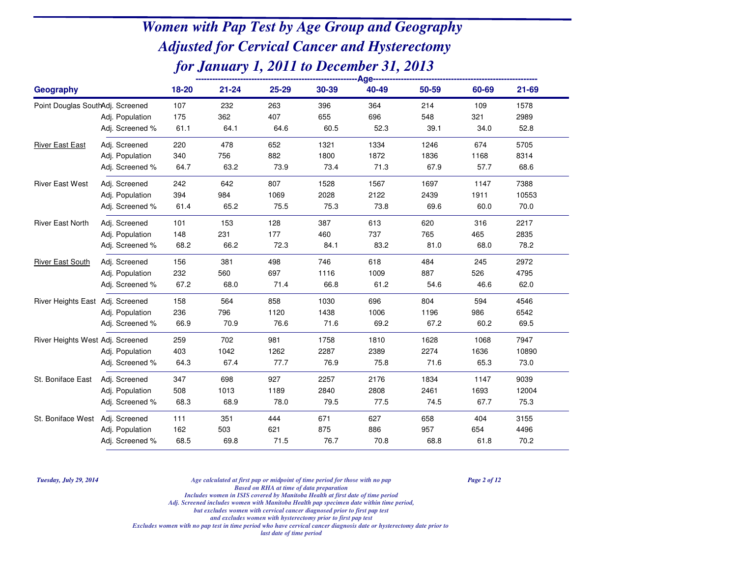| Geography                        |                 | 18-20 | $21 - 24$ | $25 - 29$ | 30-39 | 40-49 | 50-59 | 60-69 | $21 - 69$ |
|----------------------------------|-----------------|-------|-----------|-----------|-------|-------|-------|-------|-----------|
| Point Douglas SouthAdj. Screened |                 | 107   | 232       | 263       | 396   | 364   | 214   | 109   | 1578      |
|                                  | Adj. Population | 175   | 362       | 407       | 655   | 696   | 548   | 321   | 2989      |
|                                  | Adj. Screened % | 61.1  | 64.1      | 64.6      | 60.5  | 52.3  | 39.1  | 34.0  | 52.8      |
| <b>River East East</b>           | Adj. Screened   | 220   | 478       | 652       | 1321  | 1334  | 1246  | 674   | 5705      |
|                                  | Adj. Population | 340   | 756       | 882       | 1800  | 1872  | 1836  | 1168  | 8314      |
|                                  | Adj. Screened % | 64.7  | 63.2      | 73.9      | 73.4  | 71.3  | 67.9  | 57.7  | 68.6      |
| <b>River East West</b>           | Adj. Screened   | 242   | 642       | 807       | 1528  | 1567  | 1697  | 1147  | 7388      |
|                                  | Adj. Population | 394   | 984       | 1069      | 2028  | 2122  | 2439  | 1911  | 10553     |
|                                  | Adj. Screened % | 61.4  | 65.2      | 75.5      | 75.3  | 73.8  | 69.6  | 60.0  | 70.0      |
| <b>River East North</b>          | Adj. Screened   | 101   | 153       | 128       | 387   | 613   | 620   | 316   | 2217      |
|                                  | Adj. Population | 148   | 231       | 177       | 460   | 737   | 765   | 465   | 2835      |
|                                  | Adj. Screened % | 68.2  | 66.2      | 72.3      | 84.1  | 83.2  | 81.0  | 68.0  | 78.2      |
| <b>River East South</b>          | Adj. Screened   | 156   | 381       | 498       | 746   | 618   | 484   | 245   | 2972      |
|                                  | Adj. Population | 232   | 560       | 697       | 1116  | 1009  | 887   | 526   | 4795      |
|                                  | Adj. Screened % | 67.2  | 68.0      | 71.4      | 66.8  | 61.2  | 54.6  | 46.6  | 62.0      |
| River Heights East Adj. Screened |                 | 158   | 564       | 858       | 1030  | 696   | 804   | 594   | 4546      |
|                                  | Adj. Population | 236   | 796       | 1120      | 1438  | 1006  | 1196  | 986   | 6542      |
|                                  | Adj. Screened % | 66.9  | 70.9      | 76.6      | 71.6  | 69.2  | 67.2  | 60.2  | 69.5      |
| River Heights West Adj. Screened |                 | 259   | 702       | 981       | 1758  | 1810  | 1628  | 1068  | 7947      |
|                                  | Adj. Population | 403   | 1042      | 1262      | 2287  | 2389  | 2274  | 1636  | 10890     |
|                                  | Adj. Screened % | 64.3  | 67.4      | 77.7      | 76.9  | 75.8  | 71.6  | 65.3  | 73.0      |
| St. Boniface East                | Adj. Screened   | 347   | 698       | 927       | 2257  | 2176  | 1834  | 1147  | 9039      |
|                                  | Adj. Population | 508   | 1013      | 1189      | 2840  | 2808  | 2461  | 1693  | 12004     |
|                                  | Adj. Screened % | 68.3  | 68.9      | 78.0      | 79.5  | 77.5  | 74.5  | 67.7  | 75.3      |
| St. Boniface West Adj. Screened  |                 | 111   | 351       | 444       | 671   | 627   | 658   | 404   | 3155      |
|                                  | Adj. Population | 162   | 503       | 621       | 875   | 886   | 957   | 654   | 4496      |
|                                  | Adj. Screened % | 68.5  | 69.8      | 71.5      | 76.7  | 70.8  | 68.8  | 61.8  | 70.2      |

*Tuesday, July 29, 2014*

*Age calculated at first pap or midpoint of time period for those with no pap Page 2 of 12*

*Based on RHA at time of data preparation*

*Includes women in ISIS covered by Manitoba Health at first date of time period*

 *Adj. Screened includes women with Manitoba Health pap specimen date within time period,but excludes women with cervical cancer diagnosed prior to first pap test*

*and excludes women with hysterectomy prior to first pap test*

*Excludes women with no pap test in time period who have cervical cancer diagnosis date or hysterectomy date prior to*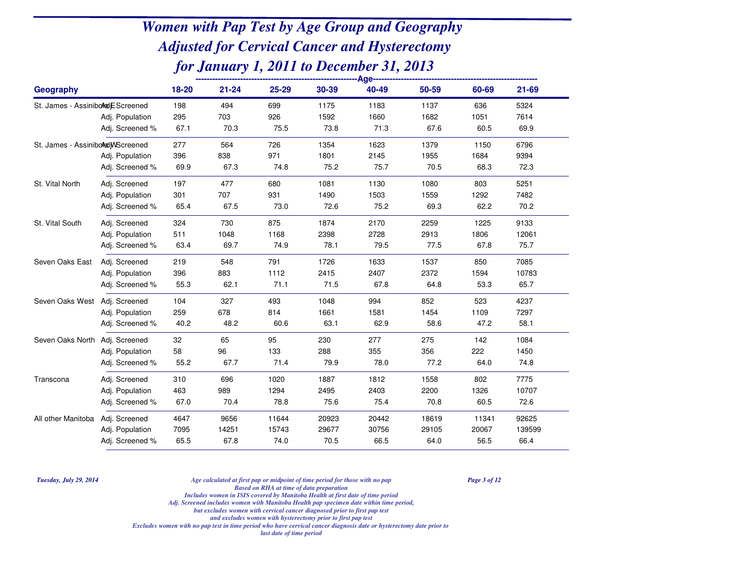| Geography                         |                 | $18 - 20$ | $21 - 24$ | 25-29 | 30-39 | 40-49 | 50-59 | 60-69 | 21-69  |
|-----------------------------------|-----------------|-----------|-----------|-------|-------|-------|-------|-------|--------|
| St. James - Assiniboral EScreened |                 | 198       | 494       | 699   | 1175  | 1183  | 1137  | 636   | 5324   |
|                                   | Adj. Population | 295       | 703       | 926   | 1592  | 1660  | 1682  | 1051  | 7614   |
|                                   | Adj. Screened % | 67.1      | 70.3      | 75.5  | 73.8  | 71.3  | 67.6  | 60.5  | 69.9   |
| St. James - AssiniboledjMScreened |                 | 277       | 564       | 726   | 1354  | 1623  | 1379  | 1150  | 6796   |
|                                   | Adj. Population | 396       | 838       | 971   | 1801  | 2145  | 1955  | 1684  | 9394   |
|                                   | Adj. Screened % | 69.9      | 67.3      | 74.8  | 75.2  | 75.7  | 70.5  | 68.3  | 72.3   |
| St. Vital North                   | Adj. Screened   | 197       | 477       | 680   | 1081  | 1130  | 1080  | 803   | 5251   |
|                                   | Adj. Population | 301       | 707       | 931   | 1490  | 1503  | 1559  | 1292  | 7482   |
|                                   | Adj. Screened % | 65.4      | 67.5      | 73.0  | 72.6  | 75.2  | 69.3  | 62.2  | 70.2   |
| St. Vital South                   | Adj. Screened   | 324       | 730       | 875   | 1874  | 2170  | 2259  | 1225  | 9133   |
|                                   | Adj. Population | 511       | 1048      | 1168  | 2398  | 2728  | 2913  | 1806  | 12061  |
|                                   | Adj. Screened % | 63.4      | 69.7      | 74.9  | 78.1  | 79.5  | 77.5  | 67.8  | 75.7   |
| Seven Oaks East                   | Adj. Screened   | 219       | 548       | 791   | 1726  | 1633  | 1537  | 850   | 7085   |
|                                   | Adj. Population | 396       | 883       | 1112  | 2415  | 2407  | 2372  | 1594  | 10783  |
|                                   | Adj. Screened % | 55.3      | 62.1      | 71.1  | 71.5  | 67.8  | 64.8  | 53.3  | 65.7   |
| Seven Oaks West                   | Adj. Screened   | 104       | 327       | 493   | 1048  | 994   | 852   | 523   | 4237   |
|                                   | Adj. Population | 259       | 678       | 814   | 1661  | 1581  | 1454  | 1109  | 7297   |
|                                   | Adj. Screened % | 40.2      | 48.2      | 60.6  | 63.1  | 62.9  | 58.6  | 47.2  | 58.1   |
| Seven Oaks North                  | Adj. Screened   | 32        | 65        | 95    | 230   | 277   | 275   | 142   | 1084   |
|                                   | Adj. Population | 58        | 96        | 133   | 288   | 355   | 356   | 222   | 1450   |
|                                   | Adj. Screened % | 55.2      | 67.7      | 71.4  | 79.9  | 78.0  | 77.2  | 64.0  | 74.8   |
| Transcona                         | Adj. Screened   | 310       | 696       | 1020  | 1887  | 1812  | 1558  | 802   | 7775   |
|                                   | Adj. Population | 463       | 989       | 1294  | 2495  | 2403  | 2200  | 1326  | 10707  |
|                                   | Adj. Screened % | 67.0      | 70.4      | 78.8  | 75.6  | 75.4  | 70.8  | 60.5  | 72.6   |
| All other Manitoba                | Adj. Screened   | 4647      | 9656      | 11644 | 20923 | 20442 | 18619 | 11341 | 92625  |
|                                   | Adj. Population | 7095      | 14251     | 15743 | 29677 | 30756 | 29105 | 20067 | 139599 |
|                                   | Adj. Screened % | 65.5      | 67.8      | 74.0  | 70.5  | 66.5  | 64.0  | 56.5  | 66.4   |

*Tuesday, July 29, 2014*

*Age calculated at first pap or midpoint of time period for those with no pap Page 3 of 12*

*Based on RHA at time of data preparation*

*Includes women in ISIS covered by Manitoba Health at first date of time period*

 *Adj. Screened includes women with Manitoba Health pap specimen date within time period,but excludes women with cervical cancer diagnosed prior to first pap test*

*and excludes women with hysterectomy prior to first pap test*

*Excludes women with no pap test in time period who have cervical cancer diagnosis date or hysterectomy date prior to*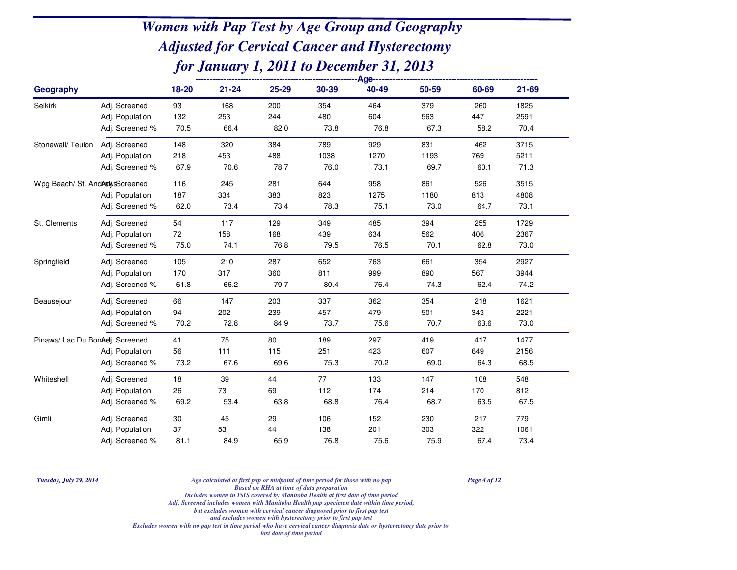| <b>Geography</b>                 |                 | $18 - 20$ | $21 - 24$ | 25-29 | 30-39 | 40-49 | 50-59 | 60-69 | 21-69 |
|----------------------------------|-----------------|-----------|-----------|-------|-------|-------|-------|-------|-------|
| Selkirk                          | Adj. Screened   | 93        | 168       | 200   | 354   | 464   | 379   | 260   | 1825  |
|                                  | Adj. Population | 132       | 253       | 244   | 480   | 604   | 563   | 447   | 2591  |
|                                  | Adj. Screened % | 70.5      | 66.4      | 82.0  | 73.8  | 76.8  | 67.3  | 58.2  | 70.4  |
| Stonewall/Teulon                 | Adj. Screened   | 148       | 320       | 384   | 789   | 929   | 831   | 462   | 3715  |
|                                  | Adj. Population | 218       | 453       | 488   | 1038  | 1270  | 1193  | 769   | 5211  |
|                                  | Adj. Screened % | 67.9      | 70.6      | 78.7  | 76.0  | 73.1  | 69.7  | 60.1  | 71.3  |
| Wpg Beach/ St. And AdjusScreened |                 | 116       | 245       | 281   | 644   | 958   | 861   | 526   | 3515  |
|                                  | Adj. Population | 187       | 334       | 383   | 823   | 1275  | 1180  | 813   | 4808  |
|                                  | Adj. Screened % | 62.0      | 73.4      | 73.4  | 78.3  | 75.1  | 73.0  | 64.7  | 73.1  |
| St. Clements                     | Adj. Screened   | 54        | 117       | 129   | 349   | 485   | 394   | 255   | 1729  |
|                                  | Adj. Population | 72        | 158       | 168   | 439   | 634   | 562   | 406   | 2367  |
|                                  | Adj. Screened % | 75.0      | 74.1      | 76.8  | 79.5  | 76.5  | 70.1  | 62.8  | 73.0  |
| Springfield                      | Adj. Screened   | 105       | 210       | 287   | 652   | 763   | 661   | 354   | 2927  |
|                                  | Adj. Population | 170       | 317       | 360   | 811   | 999   | 890   | 567   | 3944  |
|                                  | Adj. Screened % | 61.8      | 66.2      | 79.7  | 80.4  | 76.4  | 74.3  | 62.4  | 74.2  |
| Beausejour                       | Adj. Screened   | 66        | 147       | 203   | 337   | 362   | 354   | 218   | 1621  |
|                                  | Adj. Population | 94        | 202       | 239   | 457   | 479   | 501   | 343   | 2221  |
|                                  | Adj. Screened % | 70.2      | 72.8      | 84.9  | 73.7  | 75.6  | 70.7  | 63.6  | 73.0  |
| Pinawa/ Lac Du BonAdt. Screened  |                 | 41        | 75        | 80    | 189   | 297   | 419   | 417   | 1477  |
|                                  | Adj. Population | 56        | 111       | 115   | 251   | 423   | 607   | 649   | 2156  |
|                                  | Adj. Screened % | 73.2      | 67.6      | 69.6  | 75.3  | 70.2  | 69.0  | 64.3  | 68.5  |
| Whiteshell                       | Adj. Screened   | 18        | 39        | 44    | 77    | 133   | 147   | 108   | 548   |
|                                  | Adj. Population | 26        | 73        | 69    | 112   | 174   | 214   | 170   | 812   |
|                                  | Adj. Screened % | 69.2      | 53.4      | 63.8  | 68.8  | 76.4  | 68.7  | 63.5  | 67.5  |
| Gimli                            | Adj. Screened   | 30        | 45        | 29    | 106   | 152   | 230   | 217   | 779   |
|                                  | Adj. Population | 37        | 53        | 44    | 138   | 201   | 303   | 322   | 1061  |
|                                  | Adj. Screened % | 81.1      | 84.9      | 65.9  | 76.8  | 75.6  | 75.9  | 67.4  | 73.4  |

*Tuesday, July 29, 2014*

*Age calculated at first pap or midpoint of time period for those with no pap Page 4 of 12*

*Based on RHA at time of data preparation*

*Includes women in ISIS covered by Manitoba Health at first date of time period*

 *Adj. Screened includes women with Manitoba Health pap specimen date within time period,but excludes women with cervical cancer diagnosed prior to first pap test*

*and excludes women with hysterectomy prior to first pap test*

*Excludes women with no pap test in time period who have cervical cancer diagnosis date or hysterectomy date prior to*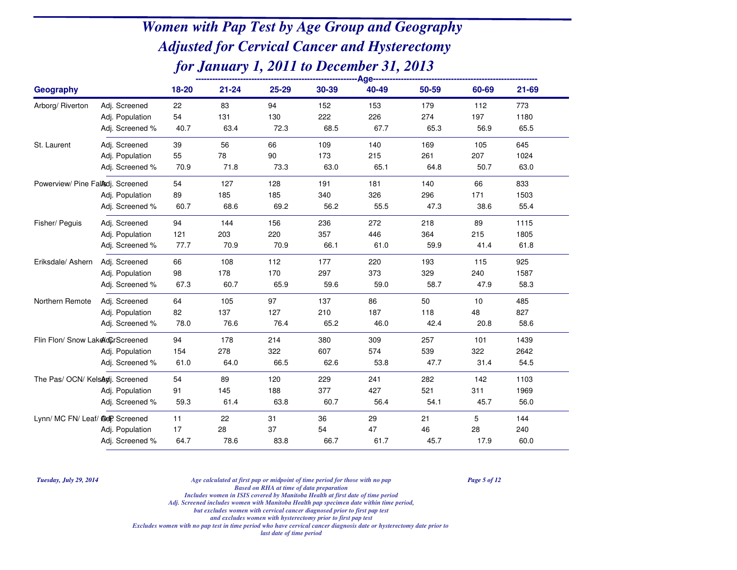| <b>Geography</b>                  |                 | 18-20 | $21 - 24$ | 25-29 | 30-39 | 40-49 | 50-59 | 60-69 | 21-69 |  |
|-----------------------------------|-----------------|-------|-----------|-------|-------|-------|-------|-------|-------|--|
| Arborg/ Riverton                  | Adj. Screened   | 22    | 83        | 94    | 152   | 153   | 179   | 112   | 773   |  |
|                                   | Adj. Population | 54    | 131       | 130   | 222   | 226   | 274   | 197   | 1180  |  |
|                                   | Adj. Screened % | 40.7  | 63.4      | 72.3  | 68.5  | 67.7  | 65.3  | 56.9  | 65.5  |  |
| St. Laurent                       | Adj. Screened   | 39    | 56        | 66    | 109   | 140   | 169   | 105   | 645   |  |
|                                   | Adj. Population | 55    | 78        | 90    | 173   | 215   | 261   | 207   | 1024  |  |
|                                   | Adj. Screened % | 70.9  | 71.8      | 73.3  | 63.0  | 65.1  | 64.8  | 50.7  | 63.0  |  |
| Powerview/ Pine Fallsdj. Screened |                 | 54    | 127       | 128   | 191   | 181   | 140   | 66    | 833   |  |
|                                   | Adj. Population | 89    | 185       | 185   | 340   | 326   | 296   | 171   | 1503  |  |
|                                   | Adj. Screened % | 60.7  | 68.6      | 69.2  | 56.2  | 55.5  | 47.3  | 38.6  | 55.4  |  |
| Fisher/ Peguis                    | Adj. Screened   | 94    | 144       | 156   | 236   | 272   | 218   | 89    | 1115  |  |
|                                   | Adj. Population | 121   | 203       | 220   | 357   | 446   | 364   | 215   | 1805  |  |
|                                   | Adj. Screened % | 77.7  | 70.9      | 70.9  | 66.1  | 61.0  | 59.9  | 41.4  | 61.8  |  |
| Eriksdale/ Ashern                 | Adj. Screened   | 66    | 108       | 112   | 177   | 220   | 193   | 115   | 925   |  |
|                                   | Adj. Population | 98    | 178       | 170   | 297   | 373   | 329   | 240   | 1587  |  |
|                                   | Adj. Screened % | 67.3  | 60.7      | 65.9  | 59.6  | 59.0  | 58.7  | 47.9  | 58.3  |  |
| Northern Remote                   | Adj. Screened   | 64    | 105       | 97    | 137   | 86    | 50    | 10    | 485   |  |
|                                   | Adj. Population | 82    | 137       | 127   | 210   | 187   | 118   | 48    | 827   |  |
|                                   | Adj. Screened % | 78.0  | 76.6      | 76.4  | 65.2  | 46.0  | 42.4  | 20.8  | 58.6  |  |
| Flin Flon/ Snow LakeXdCrScreened  |                 | 94    | 178       | 214   | 380   | 309   | 257   | 101   | 1439  |  |
|                                   | Adj. Population | 154   | 278       | 322   | 607   | 574   | 539   | 322   | 2642  |  |
|                                   | Adj. Screened % | 61.0  | 64.0      | 66.5  | 62.6  | 53.8  | 47.7  | 31.4  | 54.5  |  |
| The Pas/ OCN/ KelsAdj. Screened   |                 | 54    | 89        | 120   | 229   | 241   | 282   | 142   | 1103  |  |
|                                   | Adj. Population | 91    | 145       | 188   | 377   | 427   | 521   | 311   | 1969  |  |
|                                   | Adj. Screened % | 59.3  | 61.4      | 63.8  | 60.7  | 56.4  | 54.1  | 45.7  | 56.0  |  |
| Lynn/ MC FN/ Leaf/ @dP. Screened  |                 | 11    | 22        | 31    | 36    | 29    | 21    | 5     | 144   |  |
|                                   | Adj. Population | 17    | 28        | 37    | 54    | 47    | 46    | 28    | 240   |  |
|                                   | Adj. Screened % | 64.7  | 78.6      | 83.8  | 66.7  | 61.7  | 45.7  | 17.9  | 60.0  |  |

*Tuesday, July 29, 2014*

 *Age calculated at first pap or midpoint of time period for those with no pap Page 5 of 12 Based on RHA at time of data preparation*

*Includes women in ISIS covered by Manitoba Health at first date of time period*

*Adj. Screened includes women with Manitoba Health pap specimen date within time period,*

*but excludes women with cervical cancer diagnosed prior to first pap testand excludes women with hysterectomy prior to first pap test*

*Excludes women with no pap test in time period who have cervical cancer diagnosis date or hysterectomy date prior to*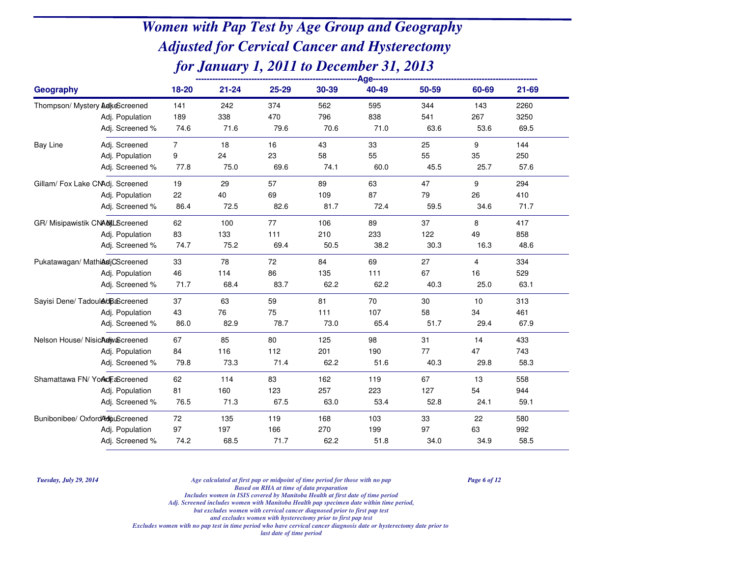| Geography       |                                  | 18-20          | $21 - 24$ | 25-29 | 30-39 | 40-49 | 50-59 | 60-69 | 21-69 |  |
|-----------------|----------------------------------|----------------|-----------|-------|-------|-------|-------|-------|-------|--|
|                 | Thompson/ Mystery AdkeScreened   | 141            | 242       | 374   | 562   | 595   | 344   | 143   | 2260  |  |
|                 | Adj. Population                  | 189            | 338       | 470   | 796   | 838   | 541   | 267   | 3250  |  |
|                 | Adj. Screened %                  | 74.6           | 71.6      | 79.6  | 70.6  | 71.0  | 63.6  | 53.6  | 69.5  |  |
| <b>Bay Line</b> | Adj. Screened                    | $\overline{7}$ | 18        | 16    | 43    | 33    | 25    | 9     | 144   |  |
|                 | Adj. Population                  | 9              | 24        | 23    | 58    | 55    | 55    | 35    | 250   |  |
|                 | Adj. Screened %                  | 77.8           | 75.0      | 69.6  | 74.1  | 60.0  | 45.5  | 25.7  | 57.6  |  |
|                 | Gillam/ Fox Lake CNAdj. Screened | 19             | 29        | 57    | 89    | 63    | 47    | 9     | 294   |  |
|                 | Adj. Population                  | 22             | 40        | 69    | 109   | 87    | 79    | 26    | 410   |  |
|                 | Adj. Screened %                  | 86.4           | 72.5      | 82.6  | 81.7  | 72.4  | 59.5  | 34.6  | 71.7  |  |
|                 | GR/ Misipawistik CNAMLScreened   | 62             | 100       | 77    | 106   | 89    | 37    | 8     | 417   |  |
|                 | Adj. Population                  | 83             | 133       | 111   | 210   | 233   | 122   | 49    | 858   |  |
|                 | Adj. Screened %                  | 74.7           | 75.2      | 69.4  | 50.5  | 38.2  | 30.3  | 16.3  | 48.6  |  |
|                 | Pukatawagan/ MathiasjCScreened   | 33             | 78        | 72    | 84    | 69    | 27    | 4     | 334   |  |
|                 | Adj. Population                  | 46             | 114       | 86    | 135   | 111   | 67    | 16    | 529   |  |
|                 | Adj. Screened %                  | 71.7           | 68.4      | 83.7  | 62.2  | 62.2  | 40.3  | 25.0  | 63.1  |  |
|                 | Sayisi Dene/ Tadoul&dBaScreened  | 37             | 63        | 59    | 81    | 70    | 30    | 10    | 313   |  |
|                 | Adj. Population                  | 43             | 76        | 75    | 111   | 107   | 58    | 34    | 461   |  |
|                 | Adj. Screened %                  | 86.0           | 82.9      | 78.7  | 73.0  | 65.4  | 51.7  | 29.4  | 67.9  |  |
|                 | Nelson House/ Nisichalw Screened | 67             | 85        | 80    | 125   | 98    | 31    | 14    | 433   |  |
|                 | Adj. Population                  | 84             | 116       | 112   | 201   | 190   | 77    | 47    | 743   |  |
|                 | Adj. Screened %                  | 79.8           | 73.3      | 71.4  | 62.2  | 51.6  | 40.3  | 29.8  | 58.3  |  |
|                 | Shamattawa FN/YorkdFaScreened    | 62             | 114       | 83    | 162   | 119   | 67    | 13    | 558   |  |
|                 | Adj. Population                  | 81             | 160       | 123   | 257   | 223   | 127   | 54    | 944   |  |
|                 | Adj. Screened %                  | 76.5           | 71.3      | 67.5  | 63.0  | 53.4  | 52.8  | 24.1  | 59.1  |  |
|                 | Bunibonibee/ OxfordAdipuScreened | 72             | 135       | 119   | 168   | 103   | 33    | 22    | 580   |  |
|                 | Adj. Population                  | 97             | 197       | 166   | 270   | 199   | 97    | 63    | 992   |  |
|                 | Adj. Screened %                  | 74.2           | 68.5      | 71.7  | 62.2  | 51.8  | 34.0  | 34.9  | 58.5  |  |

*Tuesday, July 29, 2014*

 *Age calculated at first pap or midpoint of time period for those with no pap Page 6 of 12 Based on RHA at time of data preparation*

*Includes women in ISIS covered by Manitoba Health at first date of time period*

*Adj. Screened includes women with Manitoba Health pap specimen date within time period,*

*but excludes women with cervical cancer diagnosed prior to first pap test*

*and excludes women with hysterectomy prior to first pap test*

*Excludes women with no pap test in time period who have cervical cancer diagnosis date or hysterectomy date prior to*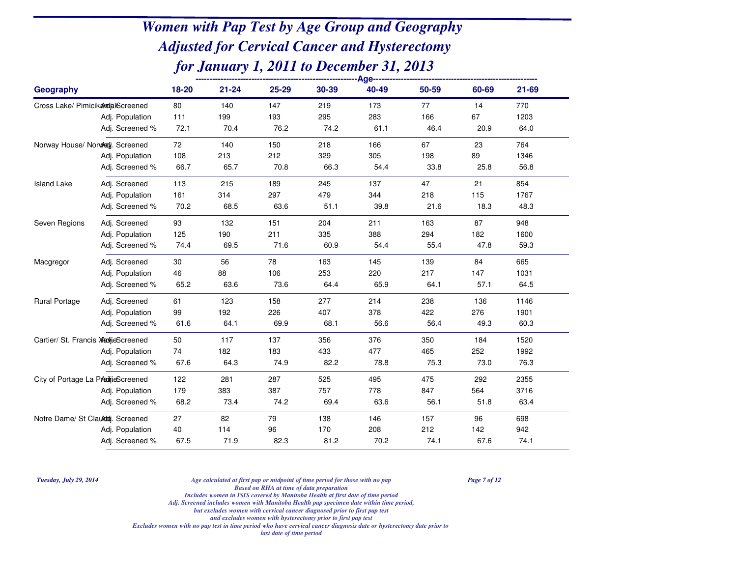| Geography            |                                      | 18-20 | $21 - 24$ | 25-29 | 30-39 | 40-49 | 50-59 | 60-69 | 21-69 |  |
|----------------------|--------------------------------------|-------|-----------|-------|-------|-------|-------|-------|-------|--|
|                      | Cross Lake/ PimicikardialScreened    | 80    | 140       | 147   | 219   | 173   | 77    | 14    | 770   |  |
|                      | Adj. Population                      | 111   | 199       | 193   | 295   | 283   | 166   | 67    | 1203  |  |
|                      | Adj. Screened %                      | 72.1  | 70.4      | 76.2  | 74.2  | 61.1  | 46.4  | 20.9  | 64.0  |  |
|                      | Norway House/ Norwladj. Screened     | 72    | 140       | 150   | 218   | 166   | 67    | 23    | 764   |  |
|                      | Adj. Population                      | 108   | 213       | 212   | 329   | 305   | 198   | 89    | 1346  |  |
|                      | Adj. Screened %                      | 66.7  | 65.7      | 70.8  | 66.3  | 54.4  | 33.8  | 25.8  | 56.8  |  |
| <b>Island Lake</b>   | Adj. Screened                        | 113   | 215       | 189   | 245   | 137   | 47    | 21    | 854   |  |
|                      | Adj. Population                      | 161   | 314       | 297   | 479   | 344   | 218   | 115   | 1767  |  |
|                      | Adj. Screened %                      | 70.2  | 68.5      | 63.6  | 51.1  | 39.8  | 21.6  | 18.3  | 48.3  |  |
| Seven Regions        | Adj. Screened                        | 93    | 132       | 151   | 204   | 211   | 163   | 87    | 948   |  |
|                      | Adj. Population                      | 125   | 190       | 211   | 335   | 388   | 294   | 182   | 1600  |  |
|                      | Adj. Screened %                      | 74.4  | 69.5      | 71.6  | 60.9  | 54.4  | 55.4  | 47.8  | 59.3  |  |
| Macgregor            | Adj. Screened                        | 30    | 56        | 78    | 163   | 145   | 139   | 84    | 665   |  |
|                      | Adj. Population                      | 46    | 88        | 106   | 253   | 220   | 217   | 147   | 1031  |  |
|                      | Adj. Screened %                      | 65.2  | 63.6      | 73.6  | 64.4  | 65.9  | 64.1  | 57.1  | 64.5  |  |
| <b>Rural Portage</b> | Adj. Screened                        | 61    | 123       | 158   | 277   | 214   | 238   | 136   | 1146  |  |
|                      | Adj. Population                      | 99    | 192       | 226   | 407   | 378   | 422   | 276   | 1901  |  |
|                      | Adj. Screened %                      | 61.6  | 64.1      | 69.9  | 68.1  | 56.6  | 56.4  | 49.3  | 60.3  |  |
|                      | Cartier/ St. Francis XtaljieScreened | 50    | 117       | 137   | 356   | 376   | 350   | 184   | 1520  |  |
|                      | Adj. Population                      | 74    | 182       | 183   | 433   | 477   | 465   | 252   | 1992  |  |
|                      | Adj. Screened %                      | 67.6  | 64.3      | 74.9  | 82.2  | 78.8  | 75.3  | 73.0  | 76.3  |  |
|                      | City of Portage La PAdijieScreened   | 122   | 281       | 287   | 525   | 495   | 475   | 292   | 2355  |  |
|                      | Adj. Population                      | 179   | 383       | 387   | 757   | 778   | 847   | 564   | 3716  |  |
|                      | Adj. Screened %                      | 68.2  | 73.4      | 74.2  | 69.4  | 63.6  | 56.1  | 51.8  | 63.4  |  |
|                      | Notre Dame/ St Clauddej. Screened    | 27    | 82        | 79    | 138   | 146   | 157   | 96    | 698   |  |
|                      | Adj. Population                      | 40    | 114       | 96    | 170   | 208   | 212   | 142   | 942   |  |
|                      | Adj. Screened %                      | 67.5  | 71.9      | 82.3  | 81.2  | 70.2  | 74.1  | 67.6  | 74.1  |  |

*Tuesday, July 29, 2014*

 *Age calculated at first pap or midpoint of time period for those with no pap Page 7 of 12 Based on RHA at time of data preparation*

*Includes women in ISIS covered by Manitoba Health at first date of time period*

*Adj. Screened includes women with Manitoba Health pap specimen date within time period,*

*but excludes women with cervical cancer diagnosed prior to first pap test*

*and excludes women with hysterectomy prior to first pap test*

*Excludes women with no pap test in time period who have cervical cancer diagnosis date or hysterectomy date prior to*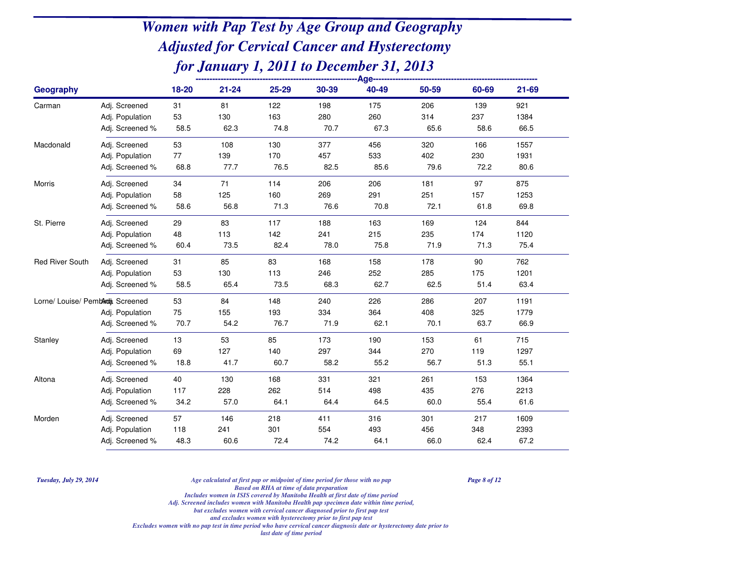| Geography                        |                 | 18-20 | $21 - 24$ | 25-29 | 30-39 | 40-49 | 50-59 | 60-69 | $21 - 69$ |
|----------------------------------|-----------------|-------|-----------|-------|-------|-------|-------|-------|-----------|
| Carman                           | Adj. Screened   | 31    | 81        | 122   | 198   | 175   | 206   | 139   | 921       |
|                                  | Adj. Population | 53    | 130       | 163   | 280   | 260   | 314   | 237   | 1384      |
|                                  | Adj. Screened % | 58.5  | 62.3      | 74.8  | 70.7  | 67.3  | 65.6  | 58.6  | 66.5      |
| Macdonald                        | Adj. Screened   | 53    | 108       | 130   | 377   | 456   | 320   | 166   | 1557      |
|                                  | Adj. Population | 77    | 139       | 170   | 457   | 533   | 402   | 230   | 1931      |
|                                  | Adj. Screened % | 68.8  | 77.7      | 76.5  | 82.5  | 85.6  | 79.6  | 72.2  | 80.6      |
| Morris                           | Adj. Screened   | 34    | 71        | 114   | 206   | 206   | 181   | 97    | 875       |
|                                  | Adj. Population | 58    | 125       | 160   | 269   | 291   | 251   | 157   | 1253      |
|                                  | Adj. Screened % | 58.6  | 56.8      | 71.3  | 76.6  | 70.8  | 72.1  | 61.8  | 69.8      |
| St. Pierre                       | Adj. Screened   | 29    | 83        | 117   | 188   | 163   | 169   | 124   | 844       |
|                                  | Adj. Population | 48    | 113       | 142   | 241   | 215   | 235   | 174   | 1120      |
|                                  | Adj. Screened % | 60.4  | 73.5      | 82.4  | 78.0  | 75.8  | 71.9  | 71.3  | 75.4      |
| <b>Red River South</b>           | Adj. Screened   | 31    | 85        | 83    | 168   | 158   | 178   | 90    | 762       |
|                                  | Adj. Population | 53    | 130       | 113   | 246   | 252   | 285   | 175   | 1201      |
|                                  | Adj. Screened % | 58.5  | 65.4      | 73.5  | 68.3  | 62.7  | 62.5  | 51.4  | 63.4      |
| Lorne/ Louise/ Pemblath Screened |                 | 53    | 84        | 148   | 240   | 226   | 286   | 207   | 1191      |
|                                  | Adj. Population | 75    | 155       | 193   | 334   | 364   | 408   | 325   | 1779      |
|                                  | Adj. Screened % | 70.7  | 54.2      | 76.7  | 71.9  | 62.1  | 70.1  | 63.7  | 66.9      |
| Stanley                          | Adj. Screened   | 13    | 53        | 85    | 173   | 190   | 153   | 61    | 715       |
|                                  | Adj. Population | 69    | 127       | 140   | 297   | 344   | 270   | 119   | 1297      |
|                                  | Adj. Screened % | 18.8  | 41.7      | 60.7  | 58.2  | 55.2  | 56.7  | 51.3  | 55.1      |
| Altona                           | Adj. Screened   | 40    | 130       | 168   | 331   | 321   | 261   | 153   | 1364      |
|                                  | Adj. Population | 117   | 228       | 262   | 514   | 498   | 435   | 276   | 2213      |
|                                  | Adj. Screened % | 34.2  | 57.0      | 64.1  | 64.4  | 64.5  | 60.0  | 55.4  | 61.6      |
| Morden                           | Adj. Screened   | 57    | 146       | 218   | 411   | 316   | 301   | 217   | 1609      |
|                                  | Adj. Population | 118   | 241       | 301   | 554   | 493   | 456   | 348   | 2393      |
|                                  | Adj. Screened % | 48.3  | 60.6      | 72.4  | 74.2  | 64.1  | 66.0  | 62.4  | 67.2      |

*Tuesday, July 29, 2014*

 *Age calculated at first pap or midpoint of time period for those with no pap Page 8 of 12 Based on RHA at time of data preparation*

 *Includes women in ISIS covered by Manitoba Health at first date of time periodAdj. Screened includes women with Manitoba Health pap specimen date within time period,*

*but excludes women with cervical cancer diagnosed prior to first pap test*

*and excludes women with hysterectomy prior to first pap test*

*Excludes women with no pap test in time period who have cervical cancer diagnosis date or hysterectomy date prior to*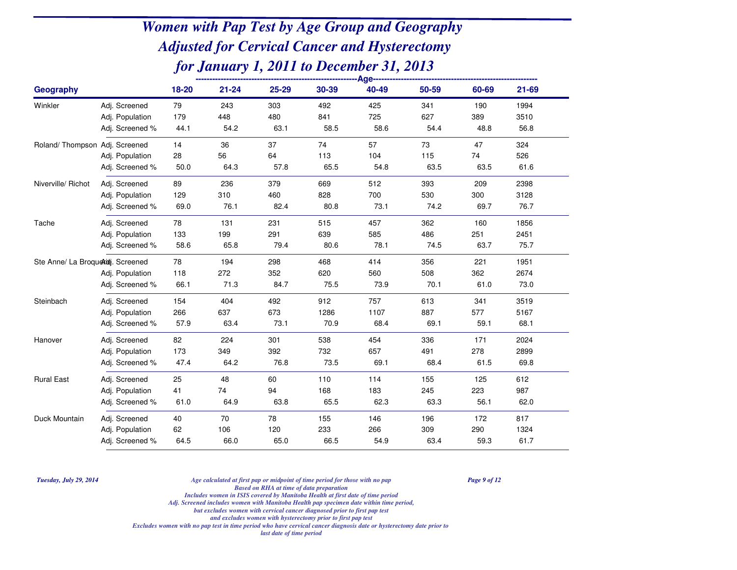| <b>Geography</b>                  |                 | 18-20 | $21 - 24$ | 25-29 | 30-39 | 40-49 | 50-59 | 60-69 | 21-69 |  |
|-----------------------------------|-----------------|-------|-----------|-------|-------|-------|-------|-------|-------|--|
| Winkler                           | Adj. Screened   | 79    | 243       | 303   | 492   | 425   | 341   | 190   | 1994  |  |
|                                   | Adj. Population | 179   | 448       | 480   | 841   | 725   | 627   | 389   | 3510  |  |
|                                   | Adj. Screened % | 44.1  | 54.2      | 63.1  | 58.5  | 58.6  | 54.4  | 48.8  | 56.8  |  |
| Roland/ Thompson Adj. Screened    |                 | 14    | 36        | 37    | 74    | 57    | 73    | 47    | 324   |  |
|                                   | Adj. Population | 28    | 56        | 64    | 113   | 104   | 115   | 74    | 526   |  |
|                                   | Adj. Screened % | 50.0  | 64.3      | 57.8  | 65.5  | 54.8  | 63.5  | 63.5  | 61.6  |  |
| Niverville/ Richot                | Adj. Screened   | 89    | 236       | 379   | 669   | 512   | 393   | 209   | 2398  |  |
|                                   | Adj. Population | 129   | 310       | 460   | 828   | 700   | 530   | 300   | 3128  |  |
|                                   | Adj. Screened % | 69.0  | 76.1      | 82.4  | 80.8  | 73.1  | 74.2  | 69.7  | 76.7  |  |
| Tache                             | Adj. Screened   | 78    | 131       | 231   | 515   | 457   | 362   | 160   | 1856  |  |
|                                   | Adj. Population | 133   | 199       | 291   | 639   | 585   | 486   | 251   | 2451  |  |
|                                   | Adj. Screened % | 58.6  | 65.8      | 79.4  | 80.6  | 78.1  | 74.5  | 63.7  | 75.7  |  |
| Ste Anne/ La Broquekidj. Screened |                 | 78    | 194       | 298   | 468   | 414   | 356   | 221   | 1951  |  |
|                                   | Adj. Population | 118   | 272       | 352   | 620   | 560   | 508   | 362   | 2674  |  |
|                                   | Adj. Screened % | 66.1  | 71.3      | 84.7  | 75.5  | 73.9  | 70.1  | 61.0  | 73.0  |  |
| Steinbach                         | Adj. Screened   | 154   | 404       | 492   | 912   | 757   | 613   | 341   | 3519  |  |
|                                   | Adj. Population | 266   | 637       | 673   | 1286  | 1107  | 887   | 577   | 5167  |  |
|                                   | Adj. Screened % | 57.9  | 63.4      | 73.1  | 70.9  | 68.4  | 69.1  | 59.1  | 68.1  |  |
| Hanover                           | Adj. Screened   | 82    | 224       | 301   | 538   | 454   | 336   | 171   | 2024  |  |
|                                   | Adj. Population | 173   | 349       | 392   | 732   | 657   | 491   | 278   | 2899  |  |
|                                   | Adj. Screened % | 47.4  | 64.2      | 76.8  | 73.5  | 69.1  | 68.4  | 61.5  | 69.8  |  |
| <b>Rural East</b>                 | Adj. Screened   | 25    | 48        | 60    | 110   | 114   | 155   | 125   | 612   |  |
|                                   | Adj. Population | 41    | 74        | 94    | 168   | 183   | 245   | 223   | 987   |  |
|                                   | Adj. Screened % | 61.0  | 64.9      | 63.8  | 65.5  | 62.3  | 63.3  | 56.1  | 62.0  |  |
| Duck Mountain                     | Adj. Screened   | 40    | 70        | 78    | 155   | 146   | 196   | 172   | 817   |  |
|                                   | Adj. Population | 62    | 106       | 120   | 233   | 266   | 309   | 290   | 1324  |  |
|                                   | Adj. Screened % | 64.5  | 66.0      | 65.0  | 66.5  | 54.9  | 63.4  | 59.3  | 61.7  |  |

*Tuesday, July 29, 2014*

 *Age calculated at first pap or midpoint of time period for those with no pap Page 9 of 12 Based on RHA at time of data preparation*

*Includes women in ISIS covered by Manitoba Health at first date of time period*

*Adj. Screened includes women with Manitoba Health pap specimen date within time period,*

*but excludes women with cervical cancer diagnosed prior to first pap test*

*and excludes women with hysterectomy prior to first pap test*

*Excludes women with no pap test in time period who have cervical cancer diagnosis date or hysterectomy date prior to*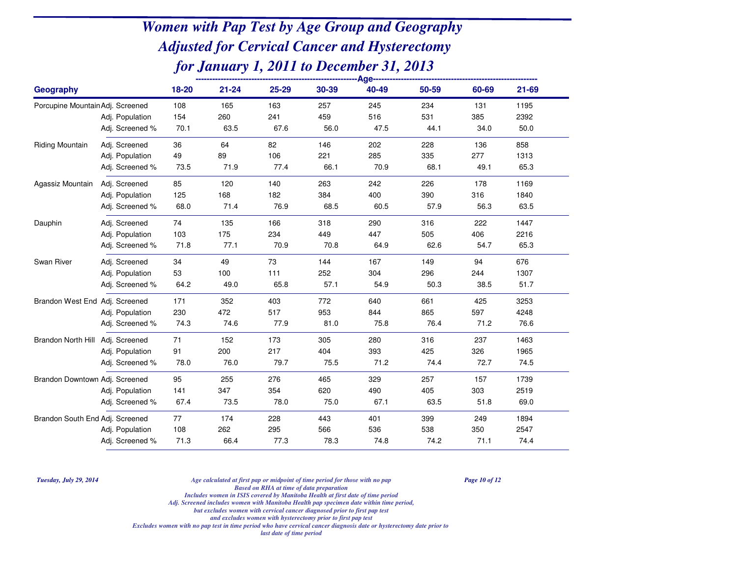| Geography                        |                 | $18 - 20$ | $21 - 24$ | 25-29 | 30-39 | 40-49 | 50-59 | 60-69 | $21 - 69$ |
|----------------------------------|-----------------|-----------|-----------|-------|-------|-------|-------|-------|-----------|
| Porcupine Mountain Adj. Screened |                 | 108       | 165       | 163   | 257   | 245   | 234   | 131   | 1195      |
|                                  | Adj. Population | 154       | 260       | 241   | 459   | 516   | 531   | 385   | 2392      |
|                                  | Adj. Screened % | 70.1      | 63.5      | 67.6  | 56.0  | 47.5  | 44.1  | 34.0  | 50.0      |
| Riding Mountain                  | Adj. Screened   | 36        | 64        | 82    | 146   | 202   | 228   | 136   | 858       |
|                                  | Adj. Population | 49        | 89        | 106   | 221   | 285   | 335   | 277   | 1313      |
|                                  | Adj. Screened % | 73.5      | 71.9      | 77.4  | 66.1  | 70.9  | 68.1  | 49.1  | 65.3      |
| Agassiz Mountain                 | Adj. Screened   | 85        | 120       | 140   | 263   | 242   | 226   | 178   | 1169      |
|                                  | Adj. Population | 125       | 168       | 182   | 384   | 400   | 390   | 316   | 1840      |
|                                  | Adj. Screened % | 68.0      | 71.4      | 76.9  | 68.5  | 60.5  | 57.9  | 56.3  | 63.5      |
| Dauphin                          | Adj. Screened   | 74        | 135       | 166   | 318   | 290   | 316   | 222   | 1447      |
|                                  | Adj. Population | 103       | 175       | 234   | 449   | 447   | 505   | 406   | 2216      |
|                                  | Adj. Screened % | 71.8      | 77.1      | 70.9  | 70.8  | 64.9  | 62.6  | 54.7  | 65.3      |
| Swan River                       | Adj. Screened   | 34        | 49        | 73    | 144   | 167   | 149   | 94    | 676       |
|                                  | Adj. Population | 53        | 100       | 111   | 252   | 304   | 296   | 244   | 1307      |
|                                  | Adj. Screened % | 64.2      | 49.0      | 65.8  | 57.1  | 54.9  | 50.3  | 38.5  | 51.7      |
| Brandon West End Adj. Screened   |                 | 171       | 352       | 403   | 772   | 640   | 661   | 425   | 3253      |
|                                  | Adj. Population | 230       | 472       | 517   | 953   | 844   | 865   | 597   | 4248      |
|                                  | Adj. Screened % | 74.3      | 74.6      | 77.9  | 81.0  | 75.8  | 76.4  | 71.2  | 76.6      |
| Brandon North Hill               | Adj. Screened   | 71        | 152       | 173   | 305   | 280   | 316   | 237   | 1463      |
|                                  | Adj. Population | 91        | 200       | 217   | 404   | 393   | 425   | 326   | 1965      |
|                                  | Adj. Screened % | 78.0      | 76.0      | 79.7  | 75.5  | 71.2  | 74.4  | 72.7  | 74.5      |
| Brandon Downtown Adj. Screened   |                 | 95        | 255       | 276   | 465   | 329   | 257   | 157   | 1739      |
|                                  | Adj. Population | 141       | 347       | 354   | 620   | 490   | 405   | 303   | 2519      |
|                                  | Adj. Screened % | 67.4      | 73.5      | 78.0  | 75.0  | 67.1  | 63.5  | 51.8  | 69.0      |
| Brandon South End Adj. Screened  |                 | 77        | 174       | 228   | 443   | 401   | 399   | 249   | 1894      |
|                                  | Adj. Population | 108       | 262       | 295   | 566   | 536   | 538   | 350   | 2547      |
|                                  | Adj. Screened % | 71.3      | 66.4      | 77.3  | 78.3  | 74.8  | 74.2  | 71.1  | 74.4      |

*Tuesday, July 29, 2014*

*Age calculated at first pap or midpoint of time period for those with no pap Page 10 of 12*

*Based on RHA at time of data preparation*

*Includes women in ISIS covered by Manitoba Health at first date of time period*

 *Adj. Screened includes women with Manitoba Health pap specimen date within time period,but excludes women with cervical cancer diagnosed prior to first pap test*

*and excludes women with hysterectomy prior to first pap test*

*Excludes women with no pap test in time period who have cervical cancer diagnosis date or hysterectomy date prior to*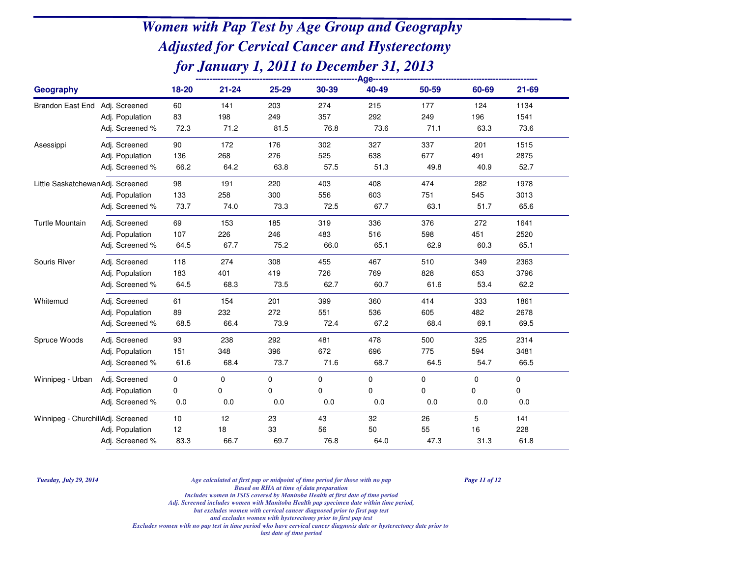| Geography                         |                 | 18-20 | $21 - 24$   | 25-29 | 30-39 | 40-49 | 50-59     | 60-69       | $21 - 69$ |
|-----------------------------------|-----------------|-------|-------------|-------|-------|-------|-----------|-------------|-----------|
| Brandon East End Adj. Screened    |                 | 60    | 141         | 203   | 274   | 215   | 177       | 124         | 1134      |
|                                   | Adj. Population | 83    | 198         | 249   | 357   | 292   | 249       | 196         | 1541      |
|                                   | Adj. Screened % | 72.3  | 71.2        | 81.5  | 76.8  | 73.6  | 71.1      | 63.3        | 73.6      |
| Asessippi                         | Adj. Screened   | 90    | 172         | 176   | 302   | 327   | 337       | 201         | 1515      |
|                                   | Adj. Population | 136   | 268         | 276   | 525   | 638   | 677       | 491         | 2875      |
|                                   | Adj. Screened % | 66.2  | 64.2        | 63.8  | 57.5  | 51.3  | 49.8      | 40.9        | 52.7      |
| Little SaskatchewanAdj. Screened  |                 | 98    | 191         | 220   | 403   | 408   | 474       | 282         | 1978      |
|                                   | Adj. Population | 133   | 258         | 300   | 556   | 603   | 751       | 545         | 3013      |
|                                   | Adj. Screened % | 73.7  | 74.0        | 73.3  | 72.5  | 67.7  | 63.1      | 51.7        | 65.6      |
| <b>Turtle Mountain</b>            | Adj. Screened   | 69    | 153         | 185   | 319   | 336   | 376       | 272         | 1641      |
|                                   | Adj. Population | 107   | 226         | 246   | 483   | 516   | 598       | 451         | 2520      |
|                                   | Adj. Screened % | 64.5  | 67.7        | 75.2  | 66.0  | 65.1  | 62.9      | 60.3        | 65.1      |
| Souris River                      | Adj. Screened   | 118   | 274         | 308   | 455   | 467   | 510       | 349         | 2363      |
|                                   | Adj. Population | 183   | 401         | 419   | 726   | 769   | 828       | 653         | 3796      |
|                                   | Adj. Screened % | 64.5  | 68.3        | 73.5  | 62.7  | 60.7  | 61.6      | 53.4        | 62.2      |
| Whitemud                          | Adj. Screened   | 61    | 154         | 201   | 399   | 360   | 414       | 333         | 1861      |
|                                   | Adj. Population | 89    | 232         | 272   | 551   | 536   | 605       | 482         | 2678      |
|                                   | Adj. Screened % | 68.5  | 66.4        | 73.9  | 72.4  | 67.2  | 68.4      | 69.1        | 69.5      |
| Spruce Woods                      | Adj. Screened   | 93    | 238         | 292   | 481   | 478   | 500       | 325         | 2314      |
|                                   | Adj. Population | 151   | 348         | 396   | 672   | 696   | 775       | 594         | 3481      |
|                                   | Adj. Screened % | 61.6  | 68.4        | 73.7  | 71.6  | 68.7  | 64.5      | 54.7        | 66.5      |
| Winnipeg - Urban                  | Adj. Screened   | 0     | $\mathbf 0$ | 0     | 0     | 0     | $\pmb{0}$ | $\mathbf 0$ | $\pmb{0}$ |
|                                   | Adj. Population | 0     | 0           | 0     | 0     | 0     | 0         | 0           | 0         |
|                                   | Adj. Screened % | 0.0   | 0.0         | 0.0   | 0.0   | 0.0   | 0.0       | 0.0         | 0.0       |
| Winnipeg - ChurchillAdj. Screened |                 | $10$  | 12          | 23    | 43    | 32    | 26        | 5           | 141       |
|                                   | Adj. Population | 12    | 18          | 33    | 56    | 50    | 55        | 16          | 228       |
|                                   | Adj. Screened % | 83.3  | 66.7        | 69.7  | 76.8  | 64.0  | 47.3      | 31.3        | 61.8      |

*Tuesday, July 29, 2014*

 *Age calculated at first pap or midpoint of time period for those with no pap Page 11 of 12 Based on RHA at time of data preparation*

 *Includes women in ISIS covered by Manitoba Health at first date of time periodAdj. Screened includes women with Manitoba Health pap specimen date within time period,*

*but excludes women with cervical cancer diagnosed prior to first pap test*

*and excludes women with hysterectomy prior to first pap test*

*Excludes women with no pap test in time period who have cervical cancer diagnosis date or hysterectomy date prior to*